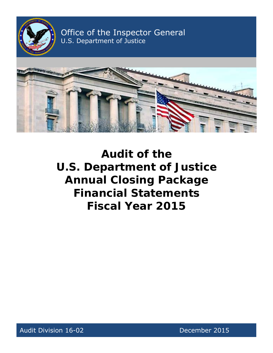

Office of the Inspector General U.S. Department of Justice



**Audit of the U.S. Department of Justice Annual Closing Package Financial Statements Fiscal Year 2015** 

Audit Division 16-02 **December 2015**